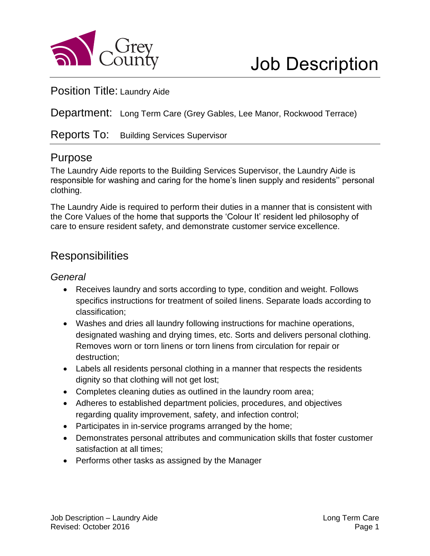

#### Position Title: Laundry Aide

Department: Long Term Care (Grey Gables, Lee Manor, Rockwood Terrace)

Reports To: Building Services Supervisor

## Purpose

The Laundry Aide reports to the Building Services Supervisor, the Laundry Aide is responsible for washing and caring for the home's linen supply and residents'' personal clothing.

The Laundry Aide is required to perform their duties in a manner that is consistent with the Core Values of the home that supports the 'Colour It' resident led philosophy of care to ensure resident safety, and demonstrate customer service excellence.

## **Responsibilities**

#### *General*

- Receives laundry and sorts according to type, condition and weight. Follows specifics instructions for treatment of soiled linens. Separate loads according to classification;
- Washes and dries all laundry following instructions for machine operations, designated washing and drying times, etc. Sorts and delivers personal clothing. Removes worn or torn linens or torn linens from circulation for repair or destruction;
- Labels all residents personal clothing in a manner that respects the residents dignity so that clothing will not get lost;
- Completes cleaning duties as outlined in the laundry room area;
- Adheres to established department policies, procedures, and objectives regarding quality improvement, safety, and infection control;
- Participates in in-service programs arranged by the home;
- Demonstrates personal attributes and communication skills that foster customer satisfaction at all times;
- Performs other tasks as assigned by the Manager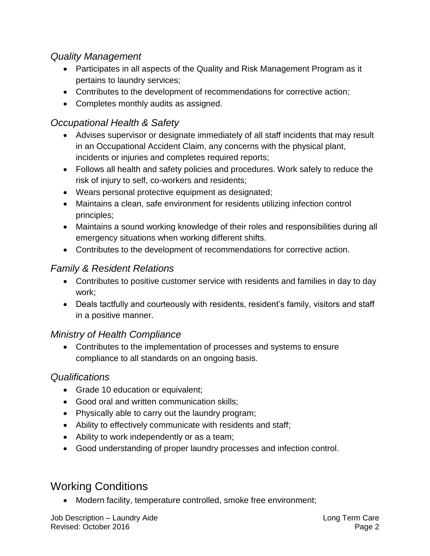#### *Quality Management*

- Participates in all aspects of the Quality and Risk Management Program as it pertains to laundry services;
- Contributes to the development of recommendations for corrective action;
- Completes monthly audits as assigned.

## *Occupational Health & Safety*

- Advises supervisor or designate immediately of all staff incidents that may result in an Occupational Accident Claim, any concerns with the physical plant, incidents or injuries and completes required reports;
- Follows all health and safety policies and procedures. Work safely to reduce the risk of injury to self, co-workers and residents;
- Wears personal protective equipment as designated;
- Maintains a clean, safe environment for residents utilizing infection control principles;
- Maintains a sound working knowledge of their roles and responsibilities during all emergency situations when working different shifts.
- Contributes to the development of recommendations for corrective action.

## *Family & Resident Relations*

- Contributes to positive customer service with residents and families in day to day work;
- Deals tactfully and courteously with residents, resident's family, visitors and staff in a positive manner.

#### *Ministry of Health Compliance*

 Contributes to the implementation of processes and systems to ensure compliance to all standards on an ongoing basis.

#### *Qualifications*

- Grade 10 education or equivalent;
- Good oral and written communication skills;
- Physically able to carry out the laundry program;
- Ability to effectively communicate with residents and staff;
- Ability to work independently or as a team;
- Good understanding of proper laundry processes and infection control.

# Working Conditions

Modern facility, temperature controlled, smoke free environment;